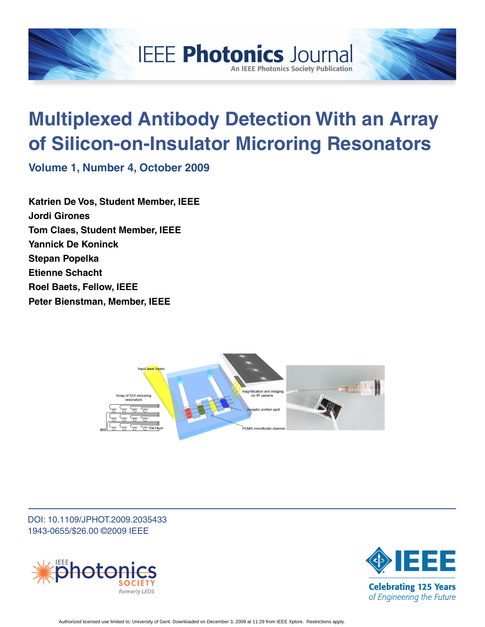

# **Multiplexed Antibody Detection With an Array of Silicon-on-Insulator Microring Resonators**

**An IEEE Photonics Society Publication** 

**Volume 1, Number 4, October 2009**

**Katrien De Vos, Student Member, IEEE Jordi Girones Tom Claes, Student Member, IEEE Yannick De Koninck Stepan Popelka Etienne Schacht Roel Baets, Fellow, IEEE Peter Bienstman, Member, IEEE**



DOI: 10.1109/JPHOT.2009.2035433 1943-0655/\$26.00 ©2009 IEEE



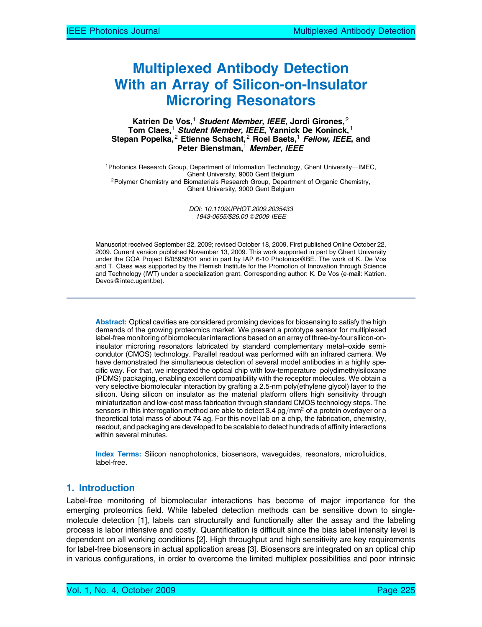# Multiplexed Antibody Detection With an Array of Silicon-on-Insulator Microring Resonators

#### Katrien De Vos,<sup>1</sup> Student Member, IEEE, Jordi Girones,<sup>2</sup> Tom Claes,<sup>1</sup> Student Member, IEEE, Yannick De Koninck,<sup>1</sup> Stepan Popelka,<sup>2</sup> Etienne Schacht,<sup>2</sup> Roel Baets,<sup>1</sup> Fellow, IEEE, and Peter Bienstman,<sup>1</sup> Member, IEEE

<sup>1</sup> Photonics Research Group, Department of Information Technology, Ghent University-IMEC, Ghent University, 9000 Gent Belgium<br><sup>2</sup>Polymer Chemistry and Biomaterials Research Group, Department of Organic Chemistry, Ghent University, 9000 Gent Belgium

> DOI: 10.1109/JPHOT.2009.2035433 1943-0655/\$26.00 © 2009 IEEE

Manuscript received September 22, 2009; revised October 18, 2009. First published Online October 22, 2009. Current version published November 13, 2009. This work supported in part by Ghent University under the GOA Project B/05958/01 and in part by IAP 6-10 Photonics@BE. The work of K. De Vos and T. Claes was supported by the Flemish Institute for the Promotion of Innovation through Science and Technology (IWT) under a specialization grant. Corresponding author: K. De Vos (e-mail: Katrien. Devos@intec.ugent.be).

Abstract: Optical cavities are considered promising devices for biosensing to satisfy the high demands of the growing proteomics market. We present a prototype sensor for multiplexed label-free monitoring of biomolecular interactions based on an array of three-by-four silicon-oninsulator microring resonators fabricated by standard complementary metal–oxide semicondutor (CMOS) technology. Parallel readout was performed with an infrared camera. We have demonstrated the simultaneous detection of several model antibodies in a highly specific way. For that, we integrated the optical chip with low-temperature polydimethylsiloxane (PDMS) packaging, enabling excellent compatibility with the receptor molecules. We obtain a very selective biomolecular interaction by grafting a 2.5-nm poly(ethylene glycol) layer to the silicon. Using silicon on insulator as the material platform offers high sensitivity through miniaturization and low-cost mass fabrication through standard CMOS technology steps. The sensors in this interrogation method are able to detect 3.4  $pg/mm^2$  of a protein overlayer or a theoretical total mass of about 74 ag. For this novel lab on a chip, the fabrication, chemistry, readout, and packaging are developed to be scalable to detect hundreds of affinity interactions within several minutes.

Index Terms: Silicon nanophotonics, biosensors, waveguides, resonators, microfluidics, label-free.

# 1. Introduction

Label-free monitoring of biomolecular interactions has become of major importance for the emerging proteomics field. While labeled detection methods can be sensitive down to singlemolecule detection [1], labels can structurally and functionally alter the assay and the labeling process is labor intensive and costly. Quantification is difficult since the bias label intensity level is dependent on all working conditions [2]. High throughput and high sensitivity are key requirements for label-free biosensors in actual application areas [3]. Biosensors are integrated on an optical chip in various configurations, in order to overcome the limited multiplex possibilities and poor intrinsic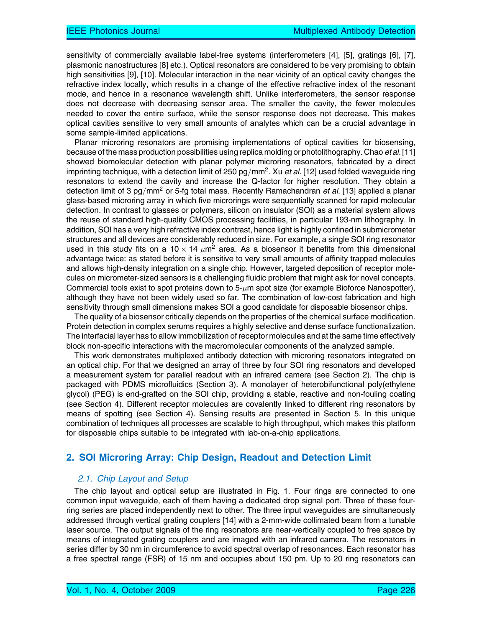sensitivity of commercially available label-free systems (interferometers [4], [5], gratings [6], [7], plasmonic nanostructures [8] etc.). Optical resonators are considered to be very promising to obtain high sensitivities [9], [10]. Molecular interaction in the near vicinity of an optical cavity changes the refractive index locally, which results in a change of the effective refractive index of the resonant mode, and hence in a resonance wavelength shift. Unlike interferometers, the sensor response does not decrease with decreasing sensor area. The smaller the cavity, the fewer molecules needed to cover the entire surface, while the sensor response does not decrease. This makes optical cavities sensitive to very small amounts of analytes which can be a crucial advantage in some sample-limited applications.

Planar microring resonators are promising implementations of optical cavities for biosensing, because of the mass production possibilities using replica molding or photolithography. Chao et al. [11] showed biomolecular detection with planar polymer microring resonators, fabricated by a direct imprinting technique, with a detection limit of 250 pg/mm<sup>2</sup>. Xu et al. [12] used folded waveguide ring resonators to extend the cavity and increase the Q-factor for higher resolution. They obtain a detection limit of 3 pg/mm<sup>2</sup> or 5-fg total mass. Recently Ramachandran *et al.* [13] applied a planar glass-based microring array in which five microrings were sequentially scanned for rapid molecular detection. In contrast to glasses or polymers, silicon on insulator (SOI) as a material system allows the reuse of standard high-quality CMOS processing facilities, in particular 193-nm lithography. In addition, SOI has a very high refractive index contrast, hence light is highly confined in submicrometer structures and all devices are considerably reduced in size. For example, a single SOI ring resonator used in this study fits on a 10  $\times$  14  $\mu$ m<sup>2</sup> area. As a biosensor it benefits from this dimensional advantage twice: as stated before it is sensitive to very small amounts of affinity trapped molecules and allows high-density integration on a single chip. However, targeted deposition of receptor molecules on micrometer-sized sensors is a challenging fluidic problem that might ask for novel concepts. Commercial tools exist to spot proteins down to 5- $\mu$ m spot size (for example Bioforce Nanospotter), although they have not been widely used so far. The combination of low-cost fabrication and high sensitivity through small dimensions makes SOI a good candidate for disposable biosensor chips.

The quality of a biosensor critically depends on the properties of the chemical surface modification. Protein detection in complex serums requires a highly selective and dense surface functionalization. The interfacial layer has to allow immobilization of receptor molecules and at the same time effectively block non-specific interactions with the macromolecular components of the analyzed sample.

This work demonstrates multiplexed antibody detection with microring resonators integrated on an optical chip. For that we designed an array of three by four SOI ring resonators and developed a measurement system for parallel readout with an infrared camera (see Section 2). The chip is packaged with PDMS microfluidics (Section 3). A monolayer of heterobifunctional poly(ethylene glycol) (PEG) is end-grafted on the SOI chip, providing a stable, reactive and non-fouling coating (see Section 4). Different receptor molecules are covalently linked to different ring resonators by means of spotting (see Section 4). Sensing results are presented in Section 5. In this unique combination of techniques all processes are scalable to high throughput, which makes this platform for disposable chips suitable to be integrated with lab-on-a-chip applications.

## 2. SOI Microring Array: Chip Design, Readout and Detection Limit

#### 2.1. Chip Layout and Setup

The chip layout and optical setup are illustrated in Fig. 1. Four rings are connected to one common input waveguide, each of them having a dedicated drop signal port. Three of these fourring series are placed independently next to other. The three input waveguides are simultaneously addressed through vertical grating couplers [14] with a 2-mm-wide collimated beam from a tunable laser source. The output signals of the ring resonators are near-vertically coupled to free space by means of integrated grating couplers and are imaged with an infrared camera. The resonators in series differ by 30 nm in circumference to avoid spectral overlap of resonances. Each resonator has a free spectral range (FSR) of 15 nm and occupies about 150 pm. Up to 20 ring resonators can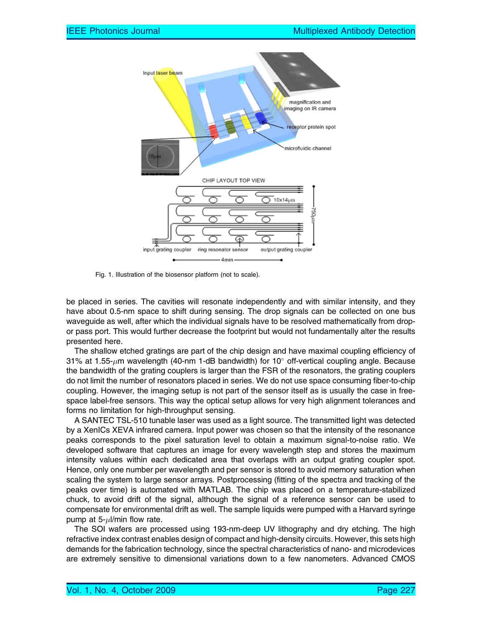

Fig. 1. Illustration of the biosensor platform (not to scale).

be placed in series. The cavities will resonate independently and with similar intensity, and they have about 0.5-nm space to shift during sensing. The drop signals can be collected on one bus waveguide as well, after which the individual signals have to be resolved mathematically from dropor pass port. This would further decrease the footprint but would not fundamentally alter the results presented here.

The shallow etched gratings are part of the chip design and have maximal coupling efficiency of 31% at 1.55- $\mu$ m wavelength (40-nm 1-dB bandwidth) for 10° off-vertical coupling angle. Because the bandwidth of the grating couplers is larger than the FSR of the resonators, the grating couplers do not limit the number of resonators placed in series. We do not use space consuming fiber-to-chip coupling. However, the imaging setup is not part of the sensor itself as is usually the case in freespace label-free sensors. This way the optical setup allows for very high alignment tolerances and forms no limitation for high-throughput sensing.

A SANTEC TSL-510 tunable laser was used as a light source. The transmitted light was detected by a XenICs XEVA infrared camera. Input power was chosen so that the intensity of the resonance peaks corresponds to the pixel saturation level to obtain a maximum signal-to-noise ratio. We developed software that captures an image for every wavelength step and stores the maximum intensity values within each dedicated area that overlaps with an output grating coupler spot. Hence, only one number per wavelength and per sensor is stored to avoid memory saturation when scaling the system to large sensor arrays. Postprocessing (fitting of the spectra and tracking of the peaks over time) is automated with MATLAB. The chip was placed on a temperature-stabilized chuck, to avoid drift of the signal, although the signal of a reference sensor can be used to compensate for environmental drift as well. The sample liquids were pumped with a Harvard syringe pump at 5- $\mu$ I/min flow rate.

The SOI wafers are processed using 193-nm-deep UV lithography and dry etching. The high refractive index contrast enables design of compact and high-density circuits. However, this sets high demands for the fabrication technology, since the spectral characteristics of nano- and microdevices are extremely sensitive to dimensional variations down to a few nanometers. Advanced CMOS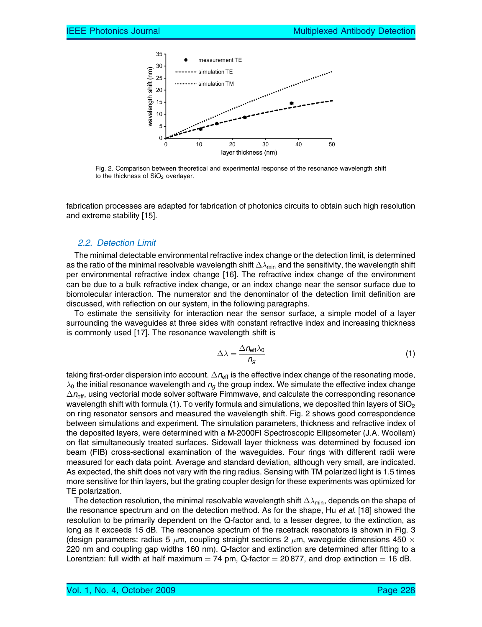

Fig. 2. Comparison between theoretical and experimental response of the resonance wavelength shift to the thickness of SiO<sub>2</sub> overlayer.

fabrication processes are adapted for fabrication of photonics circuits to obtain such high resolution and extreme stability [15].

#### 2.2. Detection Limit

The minimal detectable environmental refractive index change or the detection limit, is determined as the ratio of the minimal resolvable wavelength shift  $\Delta\lambda_{\sf min}$  and the sensitivity, the wavelength shift per environmental refractive index change [16]. The refractive index change of the environment can be due to a bulk refractive index change, or an index change near the sensor surface due to biomolecular interaction. The numerator and the denominator of the detection limit definition are discussed, with reflection on our system, in the following paragraphs.

To estimate the sensitivity for interaction near the sensor surface, a simple model of a layer surrounding the waveguides at three sides with constant refractive index and increasing thickness is commonly used [17]. The resonance wavelength shift is

$$
\Delta\lambda = \frac{\Delta n_{\text{eff}}\lambda_0}{n_g} \tag{1}
$$

taking first-order dispersion into account.  $\Delta n_{\rm eff}$  is the effective index change of the resonating mode,  $\lambda_0$  the initial resonance wavelength and  $n_q$  the group index. We simulate the effective index change  $\Delta n_{\rm eff}$ , using vectorial mode solver software Fimmwave, and calculate the corresponding resonance wavelength shift with formula (1). To verify formula and simulations, we deposited thin layers of  $SiO<sub>2</sub>$ on ring resonator sensors and measured the wavelength shift. Fig. 2 shows good correspondence between simulations and experiment. The simulation parameters, thickness and refractive index of the deposited layers, were determined with a M-2000FI Spectroscopic Ellipsometer (J.A. Woollam) on flat simultaneously treated surfaces. Sidewall layer thickness was determined by focused ion beam (FIB) cross-sectional examination of the waveguides. Four rings with different radii were measured for each data point. Average and standard deviation, although very small, are indicated. As expected, the shift does not vary with the ring radius. Sensing with TM polarized light is 1.5 times more sensitive for thin layers, but the grating coupler design for these experiments was optimized for TE polarization.

The detection resolution, the minimal resolvable wavelength shift  $\Delta\lambda_{\sf min}$ , depends on the shape of the resonance spectrum and on the detection method. As for the shape, Hu et al. [18] showed the resolution to be primarily dependent on the Q-factor and, to a lesser degree, to the extinction, as long as it exceeds 15 dB. The resonance spectrum of the racetrack resonators is shown in Fig. 3 (design parameters: radius 5  $\mu$ m, coupling straight sections 2  $\mu$ m, waveguide dimensions 450  $\times$ 220 nm and coupling gap widths 160 nm). Q-factor and extinction are determined after fitting to a Lorentzian: full width at half maximum  $=$  74 pm, Q-factor  $=$  20 877, and drop extinction  $=$  16 dB.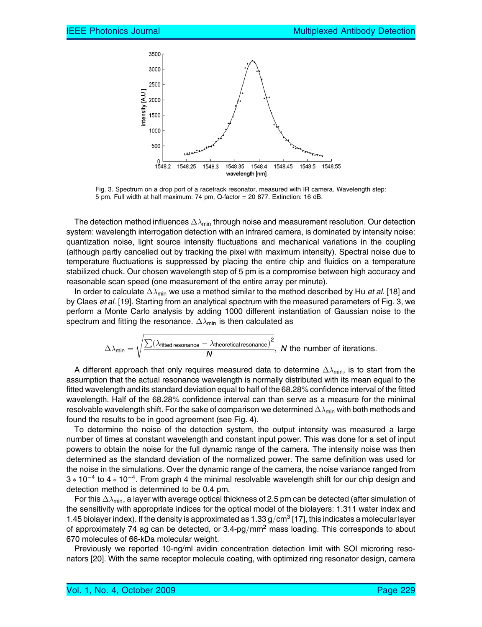

Fig. 3. Spectrum on a drop port of a racetrack resonator, measured with IR camera. Wavelength step: 5 pm. Full width at half maximum: 74 pm, Q-factor = 20 877. Extinction: 16 dB.

The detection method influences  $\Delta\lambda_{\sf min}$  through noise and measurement resolution. Our detection system: wavelength interrogation detection with an infrared camera, is dominated by intensity noise: quantization noise, light source intensity fluctuations and mechanical variations in the coupling (although partly cancelled out by tracking the pixel with maximum intensity). Spectral noise due to temperature fluctuations is suppressed by placing the entire chip and fluidics on a temperature stabilized chuck. Our chosen wavelength step of 5 pm is a compromise between high accuracy and reasonable scan speed (one measurement of the entire array per minute).

In order to calculate  $\Delta\lambda_{\sf min}$  we use a method similar to the method described by Hu *et al.* [18] and by Claes et al. [19]. Starting from an analytical spectrum with the measured parameters of Fig. 3, we perform a Monte Carlo analysis by adding 1000 different instantiation of Gaussian noise to the spectrum and fitting the resonance.  $\Delta\lambda_{\sf min}$  is then calculated as

$$
\Delta \lambda_{\text{min}} = \sqrt{\frac{\sum (\lambda_{\text{fitted resonance}} - \lambda_{\text{theoretical resonance}})^2}{N}}, \text{ $N$ the number of iterations.}
$$

A different approach that only requires measured data to determine  $\Delta\lambda_{\sf min}$ , is to start from the assumption that the actual resonance wavelength is normally distributed with its mean equal to the fitted wavelength and its standard deviation equal to half of the 68.28% confidence interval of the fitted wavelength. Half of the 68.28% confidence interval can than serve as a measure for the minimal resolvable wavelength shift. For the sake of comparison we determined  $\Delta\lambda_{\sf min}$  with both methods and found the results to be in good agreement (see Fig. 4).

To determine the noise of the detection system, the output intensity was measured a large number of times at constant wavelength and constant input power. This was done for a set of input powers to obtain the noise for the full dynamic range of the camera. The intensity noise was then determined as the standard deviation of the normalized power. The same definition was used for the noise in the simulations. Over the dynamic range of the camera, the noise variance ranged from  $3 * 10^{-4}$  to  $4 * 10^{-4}$ . From graph 4 the minimal resolvable wavelength shift for our chip design and detection method is determined to be 0.4 pm.

For this  $\Delta\lambda_{\sf min}$ , a layer with average optical thickness of 2.5 pm can be detected (after simulation of the sensitivity with appropriate indices for the optical model of the biolayers: 1.311 water index and 1.45 biolayer index). If the density is approximated as  $1.33$  g/cm<sup>3</sup> [17], this indicates a molecular layer of approximately 74 ag can be detected, or  $3.4\text{-}pg/mm^2$  mass loading. This corresponds to about 670 molecules of 66-kDa molecular weight.

Previously we reported 10-ng/ml avidin concentration detection limit with SOI microring resonators [20]. With the same receptor molecule coating, with optimized ring resonator design, camera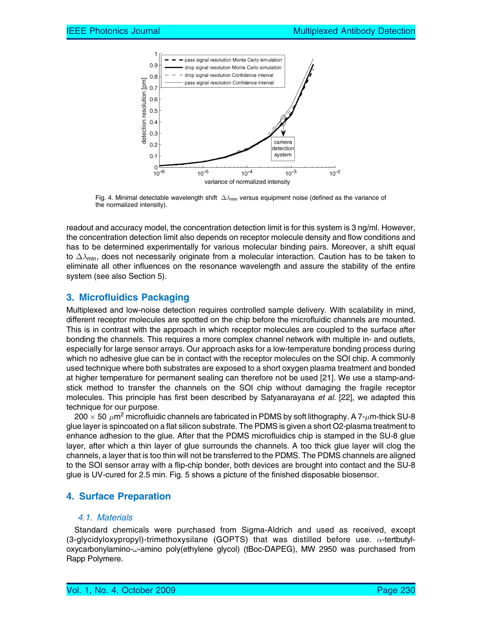

Fig. 4. Minimal detectable wavelength shift  $\Delta\lambda_{\sf min}$  versus equipment noise (defined as the variance of the normalized intensity).

readout and accuracy model, the concentration detection limit is for this system is 3 ng/ml. However, the concentration detection limit also depends on receptor molecule density and flow conditions and has to be determined experimentally for various molecular binding pairs. Moreover, a shift equal to  $\Delta\lambda_{\sf min}$ , does not necessarily originate from a molecular interaction. Caution has to be taken to eliminate all other influences on the resonance wavelength and assure the stability of the entire system (see also Section 5).

# 3. Microfluidics Packaging

Multiplexed and low-noise detection requires controlled sample delivery. With scalability in mind, different receptor molecules are spotted on the chip before the microfluidic channels are mounted. This is in contrast with the approach in which receptor molecules are coupled to the surface after bonding the channels. This requires a more complex channel network with multiple in- and outlets, especially for large sensor arrays. Our approach asks for a low-temperature bonding process during which no adhesive glue can be in contact with the receptor molecules on the SOI chip. A commonly used technique where both substrates are exposed to a short oxygen plasma treatment and bonded at higher temperature for permanent sealing can therefore not be used [21]. We use a stamp-andstick method to transfer the channels on the SOI chip without damaging the fragile receptor molecules. This principle has first been described by Satyanarayana et al. [22], we adapted this technique for our purpose.

200  $\times$  50  $\,\mu$ m $^{2}$  microfluidic channels are fabricated in PDMS by soft lithography. A 7- $\mu$ m-thick SU-8 glue layer is spincoated on a flat silicon substrate. The PDMS is given a short O2-plasma treatment to enhance adhesion to the glue. After that the PDMS microfluidics chip is stamped in the SU-8 glue layer, after which a thin layer of glue surrounds the channels. A too thick glue layer will clog the channels, a layer that is too thin will not be transferred to the PDMS. The PDMS channels are aligned to the SOI sensor array with a flip-chip bonder, both devices are brought into contact and the SU-8 glue is UV-cured for 2.5 min. Fig. 5 shows a picture of the finished disposable biosensor.

# 4. Surface Preparation

#### 4.1. Materials

Standard chemicals were purchased from Sigma-Aldrich and used as received, except (3-glycidyloxypropyl)-trimethoxysilane (GOPTS) that was distilled before use.  $\alpha$ -tertbutyl $o$ xycarbonylamino- $\omega$ -amino poly(ethylene glycol) (tBoc-DAPEG), MW 2950 was purchased from Rapp Polymere.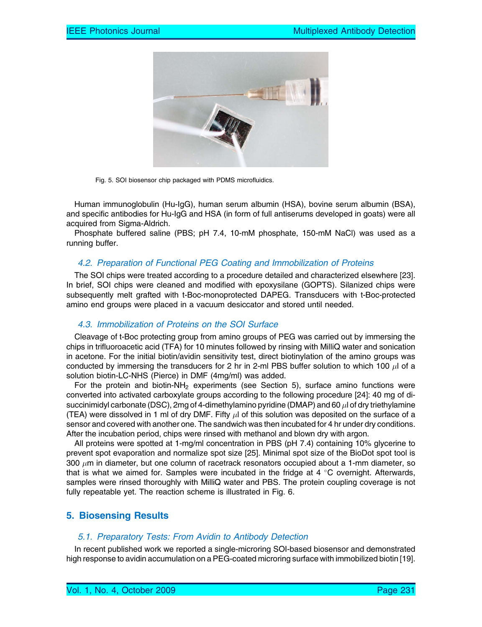

Fig. 5. SOI biosensor chip packaged with PDMS microfluidics.

Human immunoglobulin (Hu-IgG), human serum albumin (HSA), bovine serum albumin (BSA), and specific antibodies for Hu-IgG and HSA (in form of full antiserums developed in goats) were all acquired from Sigma-Aldrich.

Phosphate buffered saline (PBS; pH 7.4, 10-mM phosphate, 150-mM NaCl) was used as a running buffer.

## 4.2. Preparation of Functional PEG Coating and Immobilization of Proteins

The SOI chips were treated according to a procedure detailed and characterized elsewhere [23]. In brief, SOI chips were cleaned and modified with epoxysilane (GOPTS). Silanized chips were subsequently melt grafted with t-Boc-monoprotected DAPEG. Transducers with t-Boc-protected amino end groups were placed in a vacuum desiccator and stored until needed.

#### 4.3. Immobilization of Proteins on the SOI Surface

Cleavage of t-Boc protecting group from amino groups of PEG was carried out by immersing the chips in trifluoroacetic acid (TFA) for 10 minutes followed by rinsing with MilliQ water and sonication in acetone. For the initial biotin/avidin sensitivity test, direct biotinylation of the amino groups was conducted by immersing the transducers for 2 hr in 2-ml PBS buffer solution to which 100  $\mu$ l of a solution biotin-LC-NHS (Pierce) in DMF (4mg/ml) was added.

For the protein and biotin-NH<sub>2</sub> experiments (see Section 5), surface amino functions were converted into activated carboxylate groups according to the following procedure [24]: 40 mg of disuccinimidyl carbonate (DSC), 2mg of 4-dimethylamino pyridine (DMAP) and 60  $\mu$ l of dry triethylamine (TEA) were dissolved in 1 ml of dry DMF. Fifty  $\mu$ l of this solution was deposited on the surface of a sensor and covered with another one. The sandwich was then incubated for 4 hr under dry conditions. After the incubation period, chips were rinsed with methanol and blown dry with argon.

All proteins were spotted at 1-mg/ml concentration in PBS (pH 7.4) containing 10% glycerine to prevent spot evaporation and normalize spot size [25]. Minimal spot size of the BioDot spot tool is 300  $\mu$ m in diameter, but one column of racetrack resonators occupied about a 1-mm diameter, so that is what we aimed for. Samples were incubated in the fridge at  $4 \degree C$  overnight. Afterwards, samples were rinsed thoroughly with MilliQ water and PBS. The protein coupling coverage is not fully repeatable yet. The reaction scheme is illustrated in Fig. 6.

# 5. Biosensing Results

#### 5.1. Preparatory Tests: From Avidin to Antibody Detection

In recent published work we reported a single-microring SOI-based biosensor and demonstrated high response to avidin accumulation on a PEG-coated microring surface with immobilized biotin [19].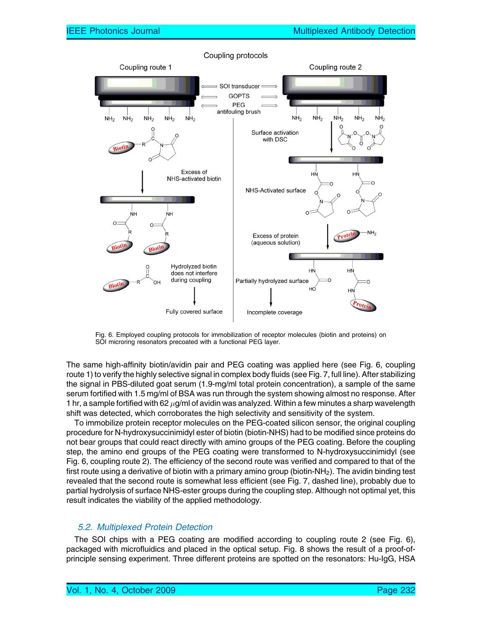

Coupling protocols

Fig. 6. Employed coupling protocols for immobilization of receptor molecules (biotin and proteins) on SOI microring resonators precoated with a functional PEG layer.

The same high-affinity biotin/avidin pair and PEG coating was applied here (see Fig. 6, coupling route 1) to verify the highly selective signal in complex body fluids (see Fig. 7, full line). After stabilizing the signal in PBS-diluted goat serum (1.9-mg/ml total protein concentration), a sample of the same serum fortified with 1.5 mg/ml of BSA was run through the system showing almost no response. After 1 hr, a sample fortified with 62  $\mu$ g/ml of avidin was analyzed. Within a few minutes a sharp wavelength shift was detected, which corroborates the high selectivity and sensitivity of the system.

To immobilize protein receptor molecules on the PEG-coated silicon sensor, the original coupling procedure for N-hydroxysuccinimidyl ester of biotin (biotin-NHS) had to be modified since proteins do not bear groups that could react directly with amino groups of the PEG coating. Before the coupling step, the amino end groups of the PEG coating were transformed to N-hydroxysuccinimidyl (see Fig. 6, coupling route 2). The efficiency of the second route was verified and compared to that of the first route using a derivative of biotin with a primary amino group (biotin- $NH<sub>2</sub>$ ). The avidin binding test revealed that the second route is somewhat less efficient (see Fig. 7, dashed line), probably due to partial hydrolysis of surface NHS-ester groups during the coupling step. Although not optimal yet, this result indicates the viability of the applied methodology.

#### 5.2. Multiplexed Protein Detection

The SOI chips with a PEG coating are modified according to coupling route 2 (see Fig. 6), packaged with microfluidics and placed in the optical setup. Fig. 8 shows the result of a proof-ofprinciple sensing experiment. Three different proteins are spotted on the resonators: Hu-IgG, HSA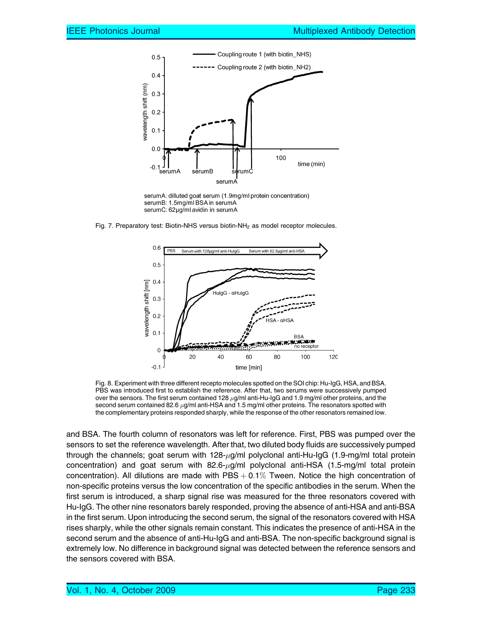

serumA: dilluted goat serum (1.9mg/ml protein concentration) serumB: 1.5mg/ml BSA in serumA serumC: 62µg/ml avidin in serumA

Fig. 7. Preparatory test: Biotin-NHS versus biotin-NH<sub>2</sub> as model receptor molecules.



Fig. 8. Experiment with three different recepto molecules spotted on the SOI chip: Hu-IgG, HSA, and BSA. PBS was introduced first to establish the reference. After that, two serums were successively pumped over the sensors. The first serum contained 128  $\mu$ g/ml anti-Hu-IgG and 1.9 mg/ml other proteins, and the second serum contained 82.6  $\mu$ g/ml anti-HSA and 1.5 mg/ml other proteins. The resonators spotted with the complementary proteins responded sharply, while the response of the other resonators remained low.

and BSA. The fourth column of resonators was left for reference. First, PBS was pumped over the sensors to set the reference wavelength. After that, two diluted body fluids are successively pumped through the channels; goat serum with 128-µg/ml polyclonal anti-Hu-IgG (1.9-mg/ml total protein concentration) and goat serum with 82.6-µg/ml polyclonal anti-HSA (1.5-mg/ml total protein concentration). All dilutions are made with  $\text{PBS} + 0.1\%$  Tween. Notice the high concentration of non-specific proteins versus the low concentration of the specific antibodies in the serum. When the first serum is introduced, a sharp signal rise was measured for the three resonators covered with Hu-IgG. The other nine resonators barely responded, proving the absence of anti-HSA and anti-BSA in the first serum. Upon introducing the second serum, the signal of the resonators covered with HSA rises sharply, while the other signals remain constant. This indicates the presence of anti-HSA in the second serum and the absence of anti-Hu-IgG and anti-BSA. The non-specific background signal is extremely low. No difference in background signal was detected between the reference sensors and the sensors covered with BSA.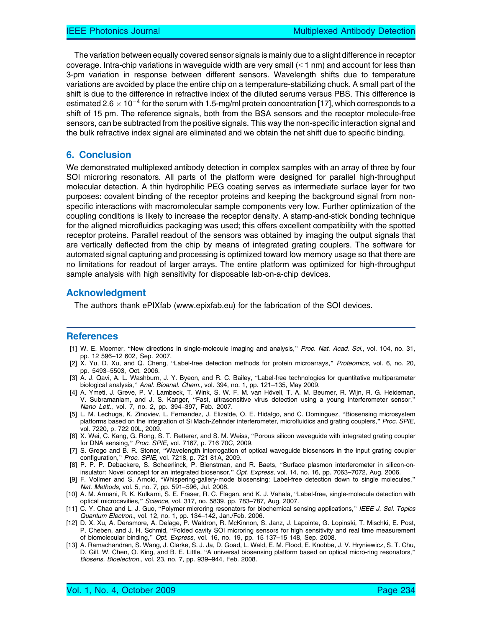The variation between equally covered sensor signals is mainly due to a slight difference in receptor coverage. Intra-chip variations in waveguide width are very small  $($  1 nm) and account for less than 3-pm variation in response between different sensors. Wavelength shifts due to temperature variations are avoided by place the entire chip on a temperature-stabilizing chuck. A small part of the shift is due to the difference in refractive index of the diluted serums versus PBS. This difference is estimated 2.6  $\times$  10 $^{-4}$  for the serum with 1.5-mg/ml protein concentration [17], which corresponds to a shift of 15 pm. The reference signals, both from the BSA sensors and the receptor molecule-free sensors, can be subtracted from the positive signals. This way the non-specific interaction signal and the bulk refractive index signal are eliminated and we obtain the net shift due to specific binding.

#### 6. Conclusion

We demonstrated multiplexed antibody detection in complex samples with an array of three by four SOI microring resonators. All parts of the platform were designed for parallel high-throughput molecular detection. A thin hydrophilic PEG coating serves as intermediate surface layer for two purposes: covalent binding of the receptor proteins and keeping the background signal from nonspecific interactions with macromolecular sample components very low. Further optimization of the coupling conditions is likely to increase the receptor density. A stamp-and-stick bonding technique for the aligned microfluidics packaging was used; this offers excellent compatibility with the spotted receptor proteins. Parallel readout of the sensors was obtained by imaging the output signals that are vertically deflected from the chip by means of integrated grating couplers. The software for automated signal capturing and processing is optimized toward low memory usage so that there are no limitations for readout of larger arrays. The entire platform was optimized for high-throughput sample analysis with high sensitivity for disposable lab-on-a-chip devices.

#### Acknowledgment

The authors thank ePIXfab (www.epixfab.eu) for the fabrication of the SOI devices.

#### References

- [1] W. E. Moerner, "New directions in single-molecule imaging and analysis," Proc. Nat. Acad. Sci., vol. 104, no. 31, pp. 12 596–12 602, Sep. 2007.
- [2] X. Yu, D. Xu, and Q. Cheng, "Label-free detection methods for protein microarrays," Proteomics, vol. 6, no. 20, pp. 5493–5503, Oct. 2006.
- [3] A. J. Qavi, A. L. Washburn, J. Y. Byeon, and R. C. Bailey, "Label-free technologies for quantitative multiparameter biological analysis," Anal. Bioanal. Chem., vol. 394, no. 1, pp. 121-135, May 2009.
- [4] A. Ymeti, J. Greve, P. V. Lambeck, T. Wink, S. W. F. M. van Hövell, T. A. M. Beumer, R. Wijn, R. G. Heideman, V. Subramaniam, and J. S. Kanger, "Fast, ultrasensitive virus detection using a young interferometer sensor," Nano Lett., vol. 7, no. 2, pp. 394–397, Feb. 2007.
- [5] L. M. Lechuga, K. Zinoviev, L. Fernandez, J. Elizalde, O. E. Hidalgo, and C. Dominguez, "Biosensing microsystem platforms based on the integration of Si Mach-Zehnder interferometer, microfluidics and grating couplers," Proc. SPIE, vol. 7220, p. 722 00L, 2009.
- [6] X. Wei, C. Kang, G. Rong, S. T. Retterer, and S. M. Weiss, "Porous silicon waveguide with integrated grating coupler for DNA sensing," Proc. SPIE, vol. 7167, p. 716 70C, 2009.
- [7] S. Grego and B. R. Stoner, "Wavelength interrogation of optical waveguide biosensors in the input grating coupler configuration," Proc. SPIE, vol. 7218, p. 721 81A, 2009.
- [8] P. P. P. Debackere, S. Scheerlinck, P. Bienstman, and R. Baets, "Surface plasmon interferometer in silicon-oninsulator: Novel concept for an integrated biosensor," Opt. Express, vol. 14, no. 16, pp. 7063-7072, Aug. 2006.
- [9] F. Vollmer and S. Arnold, "Whispering-gallery-mode biosensing: Label-free detection down to single molecules," Nat. Methods, vol. 5, no. 7, pp. 591–596, Jul. 2008.
- [10] A. M. Armani, R. K. Kulkarni, S. E. Fraser, R. C. Flagan, and K. J. Vahala, "Label-free, single-molecule detection with optical microcavities," Science, vol. 317, no. 5839, pp. 783–787, Aug. 2007.
- [11] C. Y. Chao and L. J. Guo, "Polymer microring resonators for biochemical sensing applications," IEEE J. Sel. Topics Quantum Electron., vol. 12, no. 1, pp. 134–142, Jan./Feb. 2006.
- [12] D. X. Xu, A. Densmore, A. Delage, P. Waldron, R. McKinnon, S. Janz, J. Lapointe, G. Lopinski, T. Mischki, E. Post, P. Cheben, and J. H. Schmid, "Folded cavity SOI microring sensors for high sensitivity and real time measurement of biomolecular binding," Opt. Express, vol. 16, no. 19, pp. 15 137-15 148, Sep. 2008.
- [13] A. Ramachandran, S. Wang, J. Clarke, S. J. Ja, D. Goad, L. Wald, E. M. Flood, E. Knobbe, J. V. Hryniewicz, S. T. Chu, D. Gill, W. Chen, O. King, and B. E. Little, "A universal biosensing platform based on optical micro-ring resonators," Biosens. Bioelectron., vol. 23, no. 7, pp. 939–944, Feb. 2008.